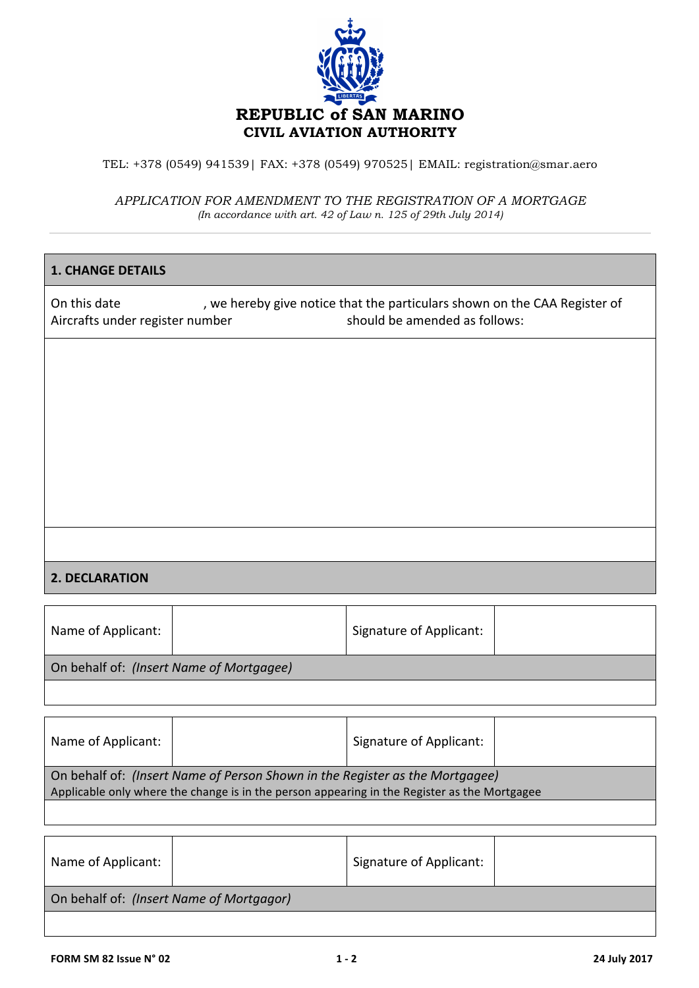

TEL: +378 (0549) 941539| FAX: +378 (0549) 970525| EMAIL: registration@smar.aero

*APPLICATION FOR AMENDMENT TO THE REGISTRATION OF A MORTGAGE (In accordance with art. 42 of Law n. 125 of 29th July 2014)*

## **1. CHANGE DETAILS**

On this date  $\sim$ , we hereby give notice that the particulars shown on the CAA Register of Aircrafts under register number **and a set of the Should** be amended as follows:

## **2. DECLARATION**

| Name of Applicant:                       |  | <b>Signature of Applicant:</b> |  |  |  |  |
|------------------------------------------|--|--------------------------------|--|--|--|--|
| On behalf of: (Insert Name of Mortgagee) |  |                                |  |  |  |  |
|                                          |  |                                |  |  |  |  |

| Name of Applicant:                                                                                                                                                           |  | Signature of Applicant: |  |  |  |  |
|------------------------------------------------------------------------------------------------------------------------------------------------------------------------------|--|-------------------------|--|--|--|--|
| On behalf of: (Insert Name of Person Shown in the Register as the Mortgagee)<br>Applicable only where the change is in the person appearing in the Register as the Mortgagee |  |                         |  |  |  |  |
|                                                                                                                                                                              |  |                         |  |  |  |  |

| Name of Applicant:                       | <b>Signature of Applicant:</b> |  |  |  |  |  |
|------------------------------------------|--------------------------------|--|--|--|--|--|
| On behalf of: (Insert Name of Mortgagor) |                                |  |  |  |  |  |